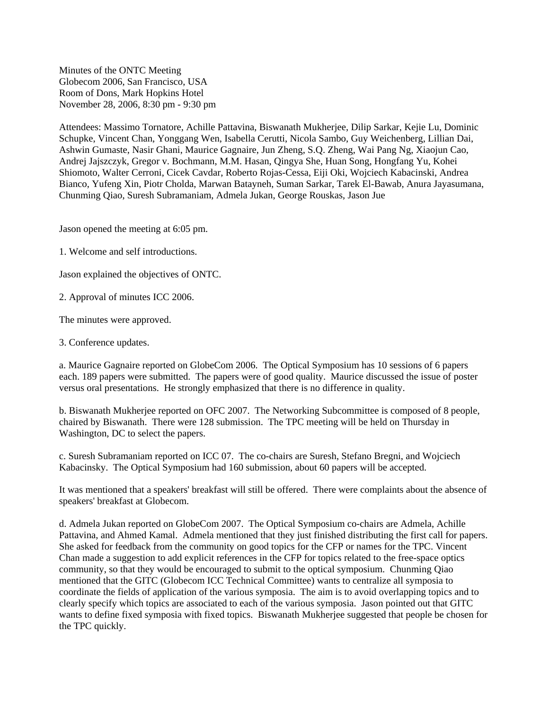Minutes of the ONTC Meeting Globecom 2006, San Francisco, USA Room of Dons, Mark Hopkins Hotel November 28, 2006, 8:30 pm - 9:30 pm

Attendees: Massimo Tornatore, Achille Pattavina, Biswanath Mukherjee, Dilip Sarkar, Kejie Lu, Dominic Schupke, Vincent Chan, Yonggang Wen, Isabella Cerutti, Nicola Sambo, Guy Weichenberg, Lillian Dai, Ashwin Gumaste, Nasir Ghani, Maurice Gagnaire, Jun Zheng, S.Q. Zheng, Wai Pang Ng, Xiaojun Cao, Andrej Jajszczyk, Gregor v. Bochmann, M.M. Hasan, Qingya She, Huan Song, Hongfang Yu, Kohei Shiomoto, Walter Cerroni, Cicek Cavdar, Roberto Rojas-Cessa, Eiji Oki, Wojciech Kabacinski, Andrea Bianco, Yufeng Xin, Piotr Cholda, Marwan Batayneh, Suman Sarkar, Tarek El-Bawab, Anura Jayasumana, Chunming Qiao, Suresh Subramaniam, Admela Jukan, George Rouskas, Jason Jue

Jason opened the meeting at 6:05 pm.

1. Welcome and self introductions.

Jason explained the objectives of ONTC.

2. Approval of minutes ICC 2006.

The minutes were approved.

3. Conference updates.

a. Maurice Gagnaire reported on GlobeCom 2006. The Optical Symposium has 10 sessions of 6 papers each. 189 papers were submitted. The papers were of good quality. Maurice discussed the issue of poster versus oral presentations. He strongly emphasized that there is no difference in quality.

b. Biswanath Mukherjee reported on OFC 2007. The Networking Subcommittee is composed of 8 people, chaired by Biswanath. There were 128 submission. The TPC meeting will be held on Thursday in Washington, DC to select the papers.

c. Suresh Subramaniam reported on ICC 07. The co-chairs are Suresh, Stefano Bregni, and Wojciech Kabacinsky. The Optical Symposium had 160 submission, about 60 papers will be accepted.

It was mentioned that a speakers' breakfast will still be offered. There were complaints about the absence of speakers' breakfast at Globecom.

d. Admela Jukan reported on GlobeCom 2007. The Optical Symposium co-chairs are Admela, Achille Pattavina, and Ahmed Kamal. Admela mentioned that they just finished distributing the first call for papers. She asked for feedback from the community on good topics for the CFP or names for the TPC. Vincent Chan made a suggestion to add explicit references in the CFP for topics related to the free-space optics community, so that they would be encouraged to submit to the optical symposium. Chunming Qiao mentioned that the GITC (Globecom ICC Technical Committee) wants to centralize all symposia to coordinate the fields of application of the various symposia. The aim is to avoid overlapping topics and to clearly specify which topics are associated to each of the various symposia. Jason pointed out that GITC wants to define fixed symposia with fixed topics. Biswanath Mukherjee suggested that people be chosen for the TPC quickly.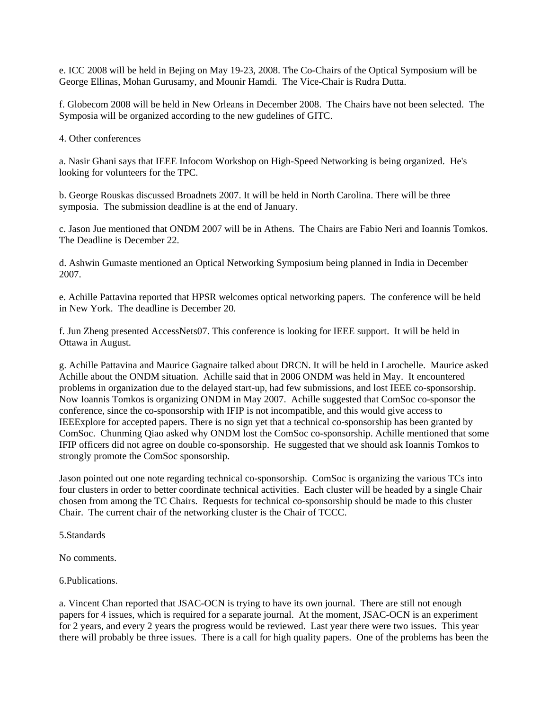e. ICC 2008 will be held in Bejing on May 19-23, 2008. The Co-Chairs of the Optical Symposium will be George Ellinas, Mohan Gurusamy, and Mounir Hamdi. The Vice-Chair is Rudra Dutta.

f. Globecom 2008 will be held in New Orleans in December 2008. The Chairs have not been selected. The Symposia will be organized according to the new gudelines of GITC.

4. Other conferences

a. Nasir Ghani says that IEEE Infocom Workshop on High-Speed Networking is being organized. He's looking for volunteers for the TPC.

b. George Rouskas discussed Broadnets 2007. It will be held in North Carolina. There will be three symposia. The submission deadline is at the end of January.

c. Jason Jue mentioned that ONDM 2007 will be in Athens. The Chairs are Fabio Neri and Ioannis Tomkos. The Deadline is December 22.

d. Ashwin Gumaste mentioned an Optical Networking Symposium being planned in India in December 2007.

e. Achille Pattavina reported that HPSR welcomes optical networking papers. The conference will be held in New York. The deadline is December 20.

f. Jun Zheng presented AccessNets07. This conference is looking for IEEE support. It will be held in Ottawa in August.

g. Achille Pattavina and Maurice Gagnaire talked about DRCN. It will be held in Larochelle. Maurice asked Achille about the ONDM situation. Achille said that in 2006 ONDM was held in May. It encountered problems in organization due to the delayed start-up, had few submissions, and lost IEEE co-sponsorship. Now Ioannis Tomkos is organizing ONDM in May 2007. Achille suggested that ComSoc co-sponsor the conference, since the co-sponsorship with IFIP is not incompatible, and this would give access to IEEExplore for accepted papers. There is no sign yet that a technical co-sponsorship has been granted by ComSoc. Chunming Qiao asked why ONDM lost the ComSoc co-sponsorship. Achille mentioned that some IFIP officers did not agree on double co-sponsorship. He suggested that we should ask Ioannis Tomkos to strongly promote the ComSoc sponsorship.

Jason pointed out one note regarding technical co-sponsorship. ComSoc is organizing the various TCs into four clusters in order to better coordinate technical activities. Each cluster will be headed by a single Chair chosen from among the TC Chairs. Requests for technical co-sponsorship should be made to this cluster Chair. The current chair of the networking cluster is the Chair of TCCC.

5.Standards

No comments.

6.Publications.

a. Vincent Chan reported that JSAC-OCN is trying to have its own journal. There are still not enough papers for 4 issues, which is required for a separate journal. At the moment, JSAC-OCN is an experiment for 2 years, and every 2 years the progress would be reviewed. Last year there were two issues. This year there will probably be three issues. There is a call for high quality papers. One of the problems has been the